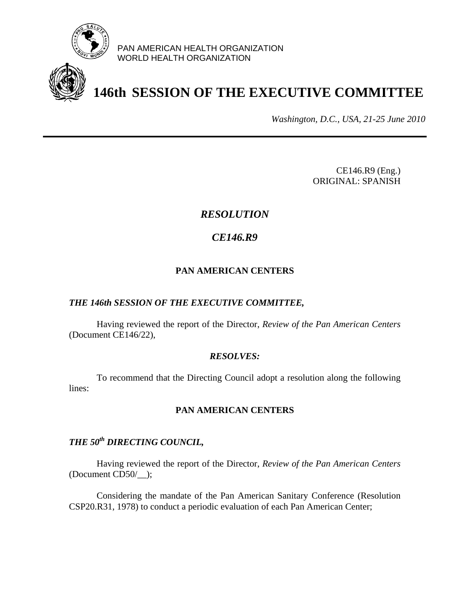

PAN AMERICAN HEALTH ORGANIZATION WORLD HEALTH ORGANIZATION

# **146th SESSION OF THE EXECUTIVE COMMITTEE**

*Washington, D.C., USA, 21-25 June 2010*

CE146.R9 (Eng.) ORIGINAL: SPANISH

## *RESOLUTION*

# *CE146.R9*

### **PAN AMERICAN CENTERS**

#### *THE 146th SESSION OF THE EXECUTIVE COMMITTEE,*

Having reviewed the report of the Director, *Review of the Pan American Centers* (Document CE146/22),

#### *RESOLVES:*

To recommend that the Directing Council adopt a resolution along the following lines:

#### **PAN AMERICAN CENTERS**

# *THE 50th DIRECTING COUNCIL,*

Having reviewed the report of the Director, *Review of the Pan American Centers* (Document CD50/\_\_);

Considering the mandate of the Pan American Sanitary Conference (Resolution CSP20.R31, 1978) to conduct a periodic evaluation of each Pan American Center;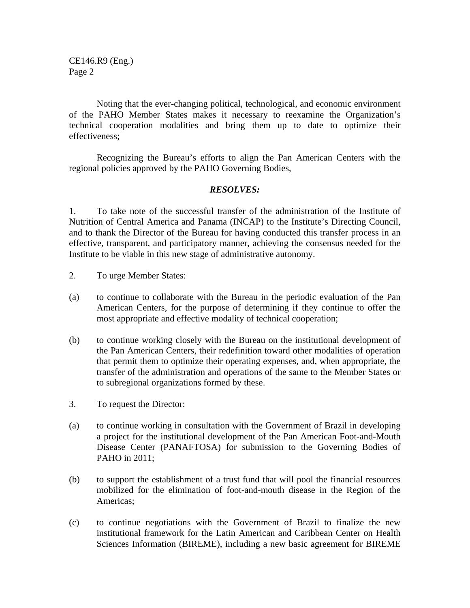CE146.R9 (Eng.) Page 2

Noting that the ever-changing political, technological, and economic environment of the PAHO Member States makes it necessary to reexamine the Organization's technical cooperation modalities and bring them up to date to optimize their effectiveness;

Recognizing the Bureau's efforts to align the Pan American Centers with the regional policies approved by the PAHO Governing Bodies,

#### *RESOLVES:*

1. To take note of the successful transfer of the administration of the Institute of Nutrition of Central America and Panama (INCAP) to the Institute's Directing Council, and to thank the Director of the Bureau for having conducted this transfer process in an effective, transparent, and participatory manner, achieving the consensus needed for the Institute to be viable in this new stage of administrative autonomy.

- 2. To urge Member States:
- (a) to continue to collaborate with the Bureau in the periodic evaluation of the Pan American Centers, for the purpose of determining if they continue to offer the most appropriate and effective modality of technical cooperation;
- (b) to continue working closely with the Bureau on the institutional development of the Pan American Centers, their redefinition toward other modalities of operation that permit them to optimize their operating expenses, and, when appropriate, the transfer of the administration and operations of the same to the Member States or to subregional organizations formed by these.
- 3. To request the Director:
- (a) to continue working in consultation with the Government of Brazil in developing a project for the institutional development of the Pan American Foot-and-Mouth Disease Center (PANAFTOSA) for submission to the Governing Bodies of PAHO in 2011;
- (b) to support the establishment of a trust fund that will pool the financial resources mobilized for the elimination of foot-and-mouth disease in the Region of the Americas;
- (c) to continue negotiations with the Government of Brazil to finalize the new institutional framework for the Latin American and Caribbean Center on Health Sciences Information (BIREME), including a new basic agreement for BIREME